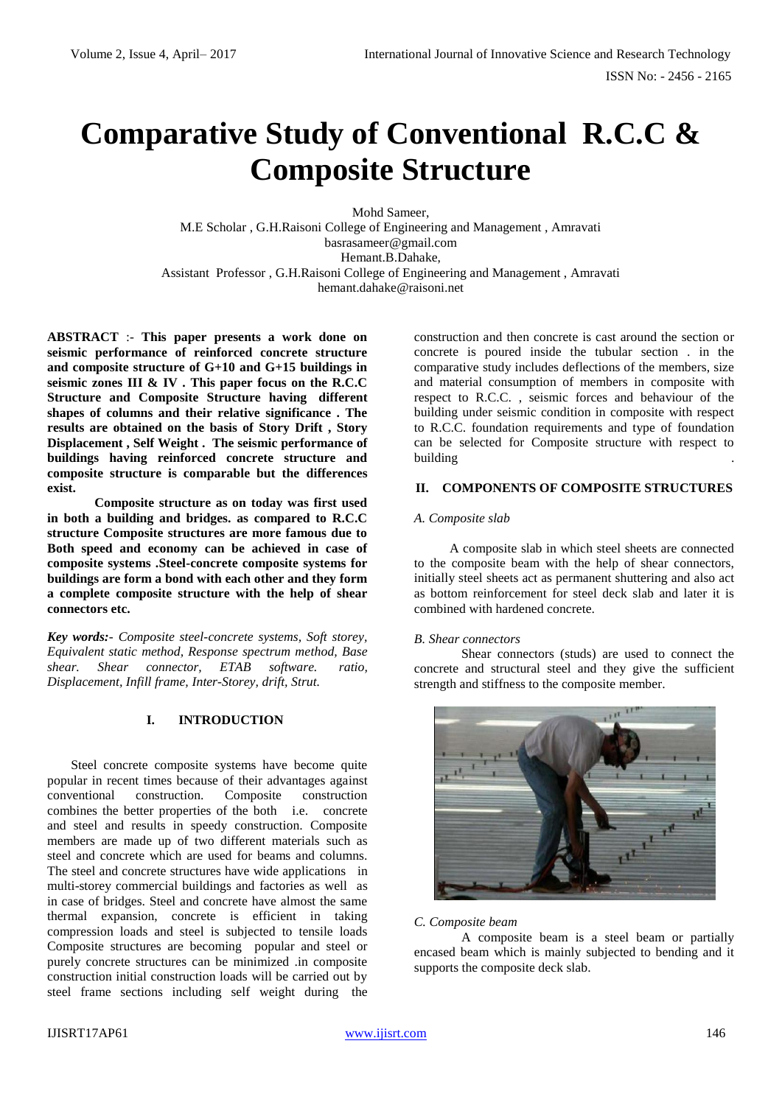# **Comparative Study of Conventional R.C.C & Composite Structure**

Mohd Sameer, M.E Scholar , G.H.Raisoni College of Engineering and Management , Amravati basrasameer@gmail.com Hemant.B.Dahake, Assistant Professor , G.H.Raisoni College of Engineering and Management , Amravati hemant.dahake@raisoni.net

**ABSTRACT** :- **This paper presents a work done on seismic performance of reinforced concrete structure and composite structure of G+10 and G+15 buildings in seismic zones III & IV . This paper focus on the R.C.C Structure and Composite Structure having different shapes of columns and their relative significance . The results are obtained on the basis of Story Drift , Story Displacement , Self Weight . The seismic performance of buildings having reinforced concrete structure and composite structure is comparable but the differences exist.** 

**Composite structure as on today was first used in both a building and bridges. as compared to R.C.C structure Composite structures are more famous due to Both speed and economy can be achieved in case of composite systems .Steel-concrete composite systems for buildings are form a bond with each other and they form a complete composite structure with the help of shear connectors etc.**

*Key words:- Composite steel-concrete systems, Soft storey, Equivalent static method, Response spectrum method, Base shear. Shear connector, ETAB software. ratio, Displacement, Infill frame, Inter-Storey, drift, Strut.*

### **I. INTRODUCTION**

Steel concrete composite systems have become quite popular in recent times because of their advantages against conventional construction. Composite construction combines the better properties of the both i.e. concrete and steel and results in speedy construction. Composite members are made up of two different materials such as steel and concrete which are used for beams and columns. The steel and concrete structures have wide applications in multi-storey commercial buildings and factories as well as in case of bridges. Steel and concrete have almost the same thermal expansion, concrete is efficient in taking compression loads and steel is subjected to tensile loads Composite structures are becoming popular and steel or purely concrete structures can be minimized .in composite construction initial construction loads will be carried out by steel frame sections including self weight during the

construction and then concrete is cast around the section or concrete is poured inside the tubular section . in the comparative study includes deflections of the members, size and material consumption of members in composite with respect to R.C.C. , seismic forces and behaviour of the building under seismic condition in composite with respect to R.C.C. foundation requirements and type of foundation can be selected for Composite structure with respect to building .

# **II. COMPONENTS OF COMPOSITE STRUCTURES**

#### *A. Composite slab*

A composite slab in which steel sheets are connected to the composite beam with the help of shear connectors, initially steel sheets act as permanent shuttering and also act as bottom reinforcement for steel deck slab and later it is combined with hardened concrete.

#### *B. Shear connectors*

Shear connectors (studs) are used to connect the concrete and structural steel and they give the sufficient strength and stiffness to the composite member.



#### *C. Composite beam*

A composite beam is a steel beam or partially encased beam which is mainly subjected to bending and it supports the composite deck slab.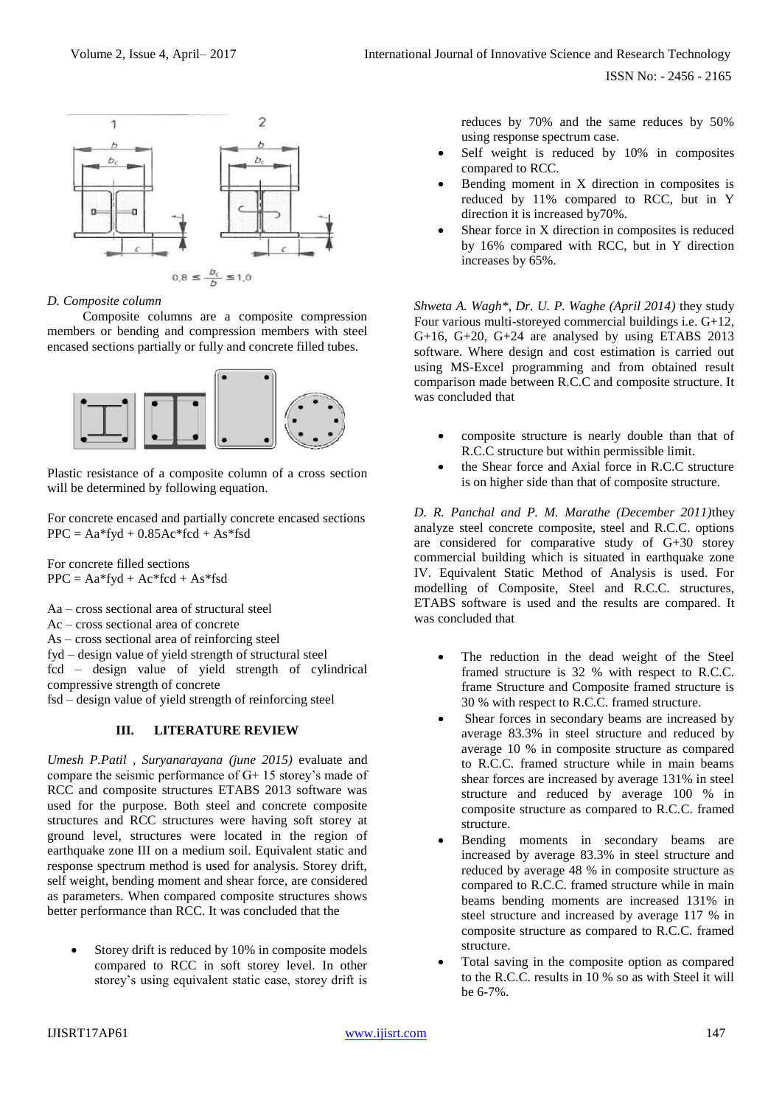

### *D. Composite column*

Composite columns are a composite compression members or bending and compression members with steel encased sections partially or fully and concrete filled tubes.



Plastic resistance of a composite column of a cross section will be determined by following equation.

For concrete encased and partially concrete encased sections  $PPC = Aa*fyd + 0.85Ac*fed + As*fsd$ 

For concrete filled sections  $PPC = Aa*fyd + Ac*fcd + As*fsd$ 

Aa – cross sectional area of structural steel

- Ac cross sectional area of concrete
- As cross sectional area of reinforcing steel

fyd – design value of yield strength of structural steel

fcd – design value of yield strength of cylindrical compressive strength of concrete

fsd – design value of yield strength of reinforcing steel

### **III. LITERATURE REVIEW**

*Umesh P.Patil , Suryanarayana (june 2015)* evaluate and compare the seismic performance of G+ 15 storey's made of RCC and composite structures ETABS 2013 software was used for the purpose. Both steel and concrete composite structures and RCC structures were having soft storey at ground level, structures were located in the region of earthquake zone III on a medium soil. Equivalent static and response spectrum method is used for analysis. Storey drift, self weight, bending moment and shear force, are considered as parameters. When compared composite structures shows better performance than RCC. It was concluded that the

 Storey drift is reduced by 10% in composite models compared to RCC in soft storey level. In other storey's using equivalent static case, storey drift is reduces by 70% and the same reduces by 50% using response spectrum case.

- Self weight is reduced by 10% in composites compared to RCC.
- Bending moment in X direction in composites is reduced by 11% compared to RCC, but in Y direction it is increased by70%.
- Shear force in X direction in composites is reduced by 16% compared with RCC, but in Y direction increases by 65%.

*Shweta A. Wagh\*, Dr. U. P. Waghe (April 2014)* they study Four various multi-storeyed commercial buildings i.e. G+12, G+16, G+20, G+24 are analysed by using ETABS 2013 software. Where design and cost estimation is carried out using MS-Excel programming and from obtained result comparison made between R.C.C and composite structure. It was concluded that

- composite structure is nearly double than that of R.C.C structure but within permissible limit.
- the Shear force and Axial force in R.C.C structure is on higher side than that of composite structure.

*D. R. Panchal and P. M. Marathe (December 2011)*they analyze steel concrete composite, steel and R.C.C. options are considered for comparative study of G+30 storey commercial building which is situated in earthquake zone IV. Equivalent Static Method of Analysis is used. For modelling of Composite, Steel and R.C.C. structures, ETABS software is used and the results are compared. It was concluded that

- The reduction in the dead weight of the Steel framed structure is 32 % with respect to R.C.C. frame Structure and Composite framed structure is 30 % with respect to R.C.C. framed structure.
- Shear forces in secondary beams are increased by average 83.3% in steel structure and reduced by average 10 % in composite structure as compared to R.C.C. framed structure while in main beams shear forces are increased by average 131% in steel structure and reduced by average 100 % in composite structure as compared to R.C.C. framed structure.
- Bending moments in secondary beams are increased by average 83.3% in steel structure and reduced by average 48 % in composite structure as compared to R.C.C. framed structure while in main beams bending moments are increased 131% in steel structure and increased by average 117 % in composite structure as compared to R.C.C. framed structure.
- Total saving in the composite option as compared to the R.C.C. results in 10 % so as with Steel it will be 6-7%.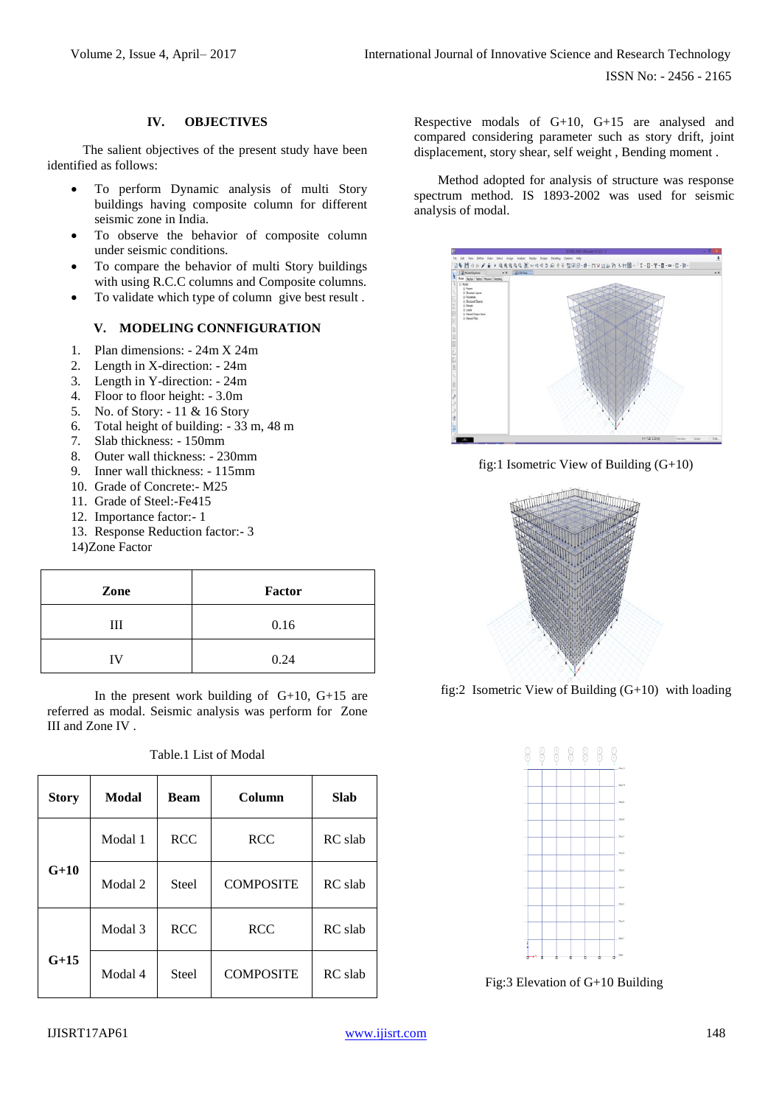# **IV. OBJECTIVES**

The salient objectives of the present study have been identified as follows:

- To perform Dynamic analysis of multi Story buildings having composite column for different seismic zone in India.
- To observe the behavior of composite column under seismic conditions.
- To compare the behavior of multi Story buildings with using R.C.C columns and Composite columns.
- To validate which type of column give best result .

# **V. MODELING CONNFIGURATION**

- 1. Plan dimensions: 24m X 24m
- 2. Length in X-direction: 24m
- 3. Length in Y-direction: 24m
- 4. Floor to floor height: 3.0m
- 5. No. of Story: 11 & 16 Story
- 6. Total height of building: 33 m, 48 m
- 7. Slab thickness: 150mm
- 8. Outer wall thickness: 230mm
- 9. Inner wall thickness: 115mm
- 10. Grade of Concrete:- M25
- 11. Grade of Steel:-Fe415
- 12. Importance factor:- 1
- 13. Response Reduction factor:- 3

14)Zone Factor

| Zone | Factor |  |  |
|------|--------|--|--|
| Ш    | 0.16   |  |  |
| ΙV   | 0.24   |  |  |

In the present work building of G+10, G+15 are referred as modal. Seismic analysis was perform for Zone III and Zone IV .

|  | Table.1 List of Modal |  |
|--|-----------------------|--|
|  |                       |  |

| <b>Story</b> | Modal   | <b>Beam</b>  | Column           | <b>Slab</b> |
|--------------|---------|--------------|------------------|-------------|
|              | Modal 1 | <b>RCC</b>   | <b>RCC</b>       | RC slab     |
| $G+10$       | Modal 2 | Steel        | <b>COMPOSITE</b> | RC slab     |
|              | Modal 3 | <b>RCC</b>   | <b>RCC</b>       | RC slab     |
| $G+15$       | Modal 4 | <b>Steel</b> | <b>COMPOSITE</b> | RC slab     |

Respective modals of G+10, G+15 are analysed and compared considering parameter such as story drift, joint displacement, story shear, self weight , Bending moment .

Method adopted for analysis of structure was response spectrum method. IS 1893-2002 was used for seismic analysis of modal.



fig:1 Isometric View of Building (G+10)



fig:2 Isometric View of Building (G+10) with loading



Fig:3 Elevation of G+10 Building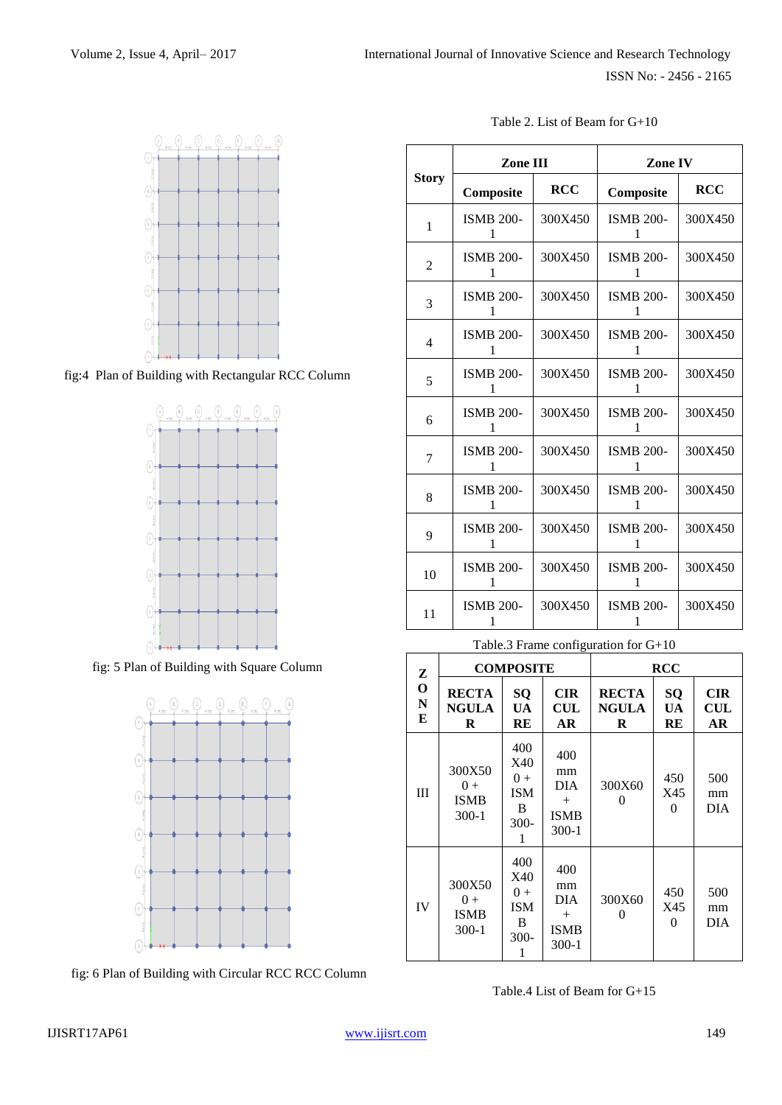

fig:4 Plan of Building with Rectangular RCC Column



fig: 5 Plan of Building with Square Column



fig: 6 Plan of Building with Circular RCC RCC Column

|  | Table 2. List of Beam for $G+10$ |  |
|--|----------------------------------|--|
|--|----------------------------------|--|

|                | Zone III              |            | Zone IV               |            |  |
|----------------|-----------------------|------------|-----------------------|------------|--|
| <b>Story</b>   | Composite             | <b>RCC</b> | Composite             | <b>RCC</b> |  |
| 1              | <b>ISMB 200-</b><br>1 | 300X450    | <b>ISMB 200-</b><br>1 | 300X450    |  |
| $\overline{2}$ | <b>ISMB 200-</b><br>1 | 300X450    | <b>ISMB 200-</b><br>1 | 300X450    |  |
| 3              | <b>ISMB 200-</b><br>1 | 300X450    | <b>ISMB 200-</b><br>1 | 300X450    |  |
| 4              | <b>ISMB 200-</b><br>1 | 300X450    | <b>ISMB 200-</b><br>1 | 300X450    |  |
| 5              | <b>ISMB 200-</b><br>1 | 300X450    | <b>ISMB 200-</b><br>1 | 300X450    |  |
| 6              | <b>ISMB 200-</b><br>1 | 300X450    | <b>ISMB 200-</b><br>1 | 300X450    |  |
| 7              | <b>ISMB 200-</b><br>1 | 300X450    | <b>ISMB 200-</b><br>1 | 300X450    |  |
| 8              | <b>ISMB 200-</b><br>1 | 300X450    | <b>ISMB 200-</b><br>1 | 300X450    |  |
| 9              | <b>ISMB 200-</b><br>1 | 300X450    | <b>ISMB 200-</b><br>1 | 300X450    |  |
| 10             | <b>ISMB 200-</b>      | 300X450    | <b>ISMB 200-</b>      | 300X450    |  |
| 11             | <b>ISMB 200-</b>      | 300X450    | <b>ISMB 200-</b>      | 300X450    |  |

| Table.3 Frame configuration for $G+10$ |  |
|----------------------------------------|--|
|                                        |  |

| Z                               | <b>COMPOSITE</b>                            |                                                      |                                                             | <b>RCC</b>                        |                       |                                    |
|---------------------------------|---------------------------------------------|------------------------------------------------------|-------------------------------------------------------------|-----------------------------------|-----------------------|------------------------------------|
| $\mathbf 0$<br>$\mathbf N$<br>E | <b>RECTA</b><br><b>NGULA</b><br>R           | <b>SQ</b><br>UA<br>RE                                | <b>CIR</b><br>$\mathbf{CUL}$<br>AR                          | <b>RECTA</b><br><b>NGULA</b><br>R | <b>SQ</b><br>UA<br>RE | <b>CIR</b><br>$\mathbf{CUL}$<br>AR |
| Ш                               | 300X50<br>$(1) +$<br><b>ISMB</b><br>$300-1$ | 400<br>X40<br>$0+$<br><b>ISM</b><br>B<br>$300-$<br>1 | 400<br>mm<br><b>DIA</b><br>$^{+}$<br><b>ISMB</b><br>$300-1$ | 300X60<br>0                       | 450<br>X45<br>0       | 500<br>mm<br><b>DIA</b>            |
| IV                              | 300X50<br>$0 +$<br><b>ISMB</b><br>$300-1$   | 400<br>X40<br>$0 +$<br><b>ISM</b><br>B<br>$300-$     | 400<br>mm<br><b>DIA</b><br>$^{+}$<br><b>ISMB</b><br>$300-1$ | 300X60<br>0                       | 450<br>X45<br>0       | 500<br>mm<br><b>DIA</b>            |

Table.4 List of Beam for G+15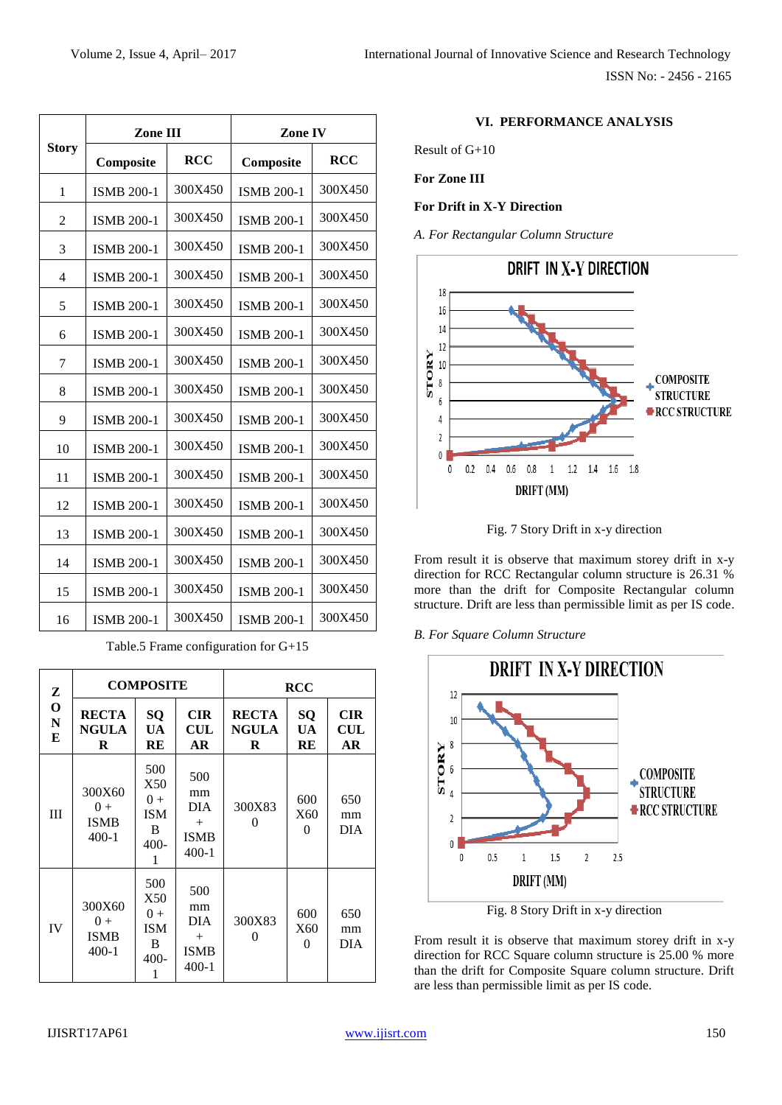| Zone III                 |                   | Zone IV    |                   |            |
|--------------------------|-------------------|------------|-------------------|------------|
| <b>Story</b>             | Composite         | <b>RCC</b> | Composite         | <b>RCC</b> |
| 1                        | <b>ISMB 200-1</b> | 300X450    | <b>ISMB 200-1</b> | 300X450    |
| 2                        | <b>ISMB 200-1</b> | 300X450    | <b>ISMB 200-1</b> | 300X450    |
| 3                        | <b>ISMB 200-1</b> | 300X450    | <b>ISMB 200-1</b> | 300X450    |
| $\overline{\mathcal{L}}$ | <b>ISMB 200-1</b> | 300X450    | <b>ISMB 200-1</b> | 300X450    |
| 5                        | <b>ISMB 200-1</b> | 300X450    | <b>ISMB 200-1</b> | 300X450    |
| 6                        | <b>ISMB 200-1</b> | 300X450    | <b>ISMB 200-1</b> | 300X450    |
| 7                        | <b>ISMB 200-1</b> | 300X450    | <b>ISMB 200-1</b> | 300X450    |
| 8                        | <b>ISMB 200-1</b> | 300X450    | <b>ISMB 200-1</b> | 300X450    |
| 9                        | <b>ISMB 200-1</b> | 300X450    | <b>ISMB 200-1</b> | 300X450    |
| 10                       | <b>ISMB 200-1</b> | 300X450    | <b>ISMB 200-1</b> | 300X450    |
| 11                       | <b>ISMB 200-1</b> | 300X450    | <b>ISMB 200-1</b> | 300X450    |
| 12                       | <b>ISMB 200-1</b> | 300X450    | <b>ISMB 200-1</b> | 300X450    |
| 13                       | <b>ISMB 200-1</b> | 300X450    | <b>ISMB 200-1</b> | 300X450    |
| 14                       | <b>ISMB 200-1</b> | 300X450    | <b>ISMB 200-1</b> | 300X450    |
| 15                       | <b>ISMB 200-1</b> | 300X450    | <b>ISMB 200-1</b> | 300X450    |
| 16                       | <b>ISMB 200-1</b> | 300X450    | <b>ISMB 200-1</b> | 300X450    |

Table.5 Frame configuration for G+15

| Z                               | <b>COMPOSITE</b>                          |                                                    |                                                             | <b>RCC</b>                        |                        |                                           |
|---------------------------------|-------------------------------------------|----------------------------------------------------|-------------------------------------------------------------|-----------------------------------|------------------------|-------------------------------------------|
| $\mathbf O$<br>$\mathbf N$<br>Е | <b>RECTA</b><br><b>NGULA</b><br>R         | SQ<br><b>UA</b><br>RE                              | <b>CIR</b><br><b>CUL</b><br><b>AR</b>                       | <b>RECTA</b><br><b>NGULA</b><br>R | SQ<br>UA<br>RE         | <b>CIR</b><br>$\mathbf{CUL}$<br><b>AR</b> |
| Ш                               | 300X60<br>$0+$<br><b>ISMB</b><br>$400-1$  | 500<br>X50<br>$0+$<br><b>ISM</b><br>B<br>400-<br>1 | 500<br>mm<br><b>DIA</b><br>$+$<br><b>ISMB</b><br>$400-1$    | 300X83<br>$\Omega$                | 600<br>X60<br>$\Omega$ | 650<br>mm<br><b>DIA</b>                   |
| IV                              | 300X60<br>$0 +$<br><b>ISMB</b><br>$400-1$ | 500<br>X50<br>$0+$<br><b>ISM</b><br>B<br>400-      | 500<br>mm<br><b>DIA</b><br>$^{+}$<br><b>ISMB</b><br>$400-1$ | 300X83<br>0                       | 600<br>X60<br>$^{(1)}$ | 650<br>mm<br><b>DIA</b>                   |

# **VI. PERFORMANCE ANALYSIS**

Result of G+10

**For Zone III**

**For Drift in X-Y Direction**

*A. For Rectangular Column Structure*





From result it is observe that maximum storey drift in x-y direction for RCC Rectangular column structure is 26.31 % more than the drift for Composite Rectangular column structure. Drift are less than permissible limit as per IS code.

*B. For Square Column Structure*



Fig. 8 Story Drift in x-y direction

From result it is observe that maximum storey drift in x-y direction for RCC Square column structure is 25.00 % more than the drift for Composite Square column structure. Drift are less than permissible limit as per IS code.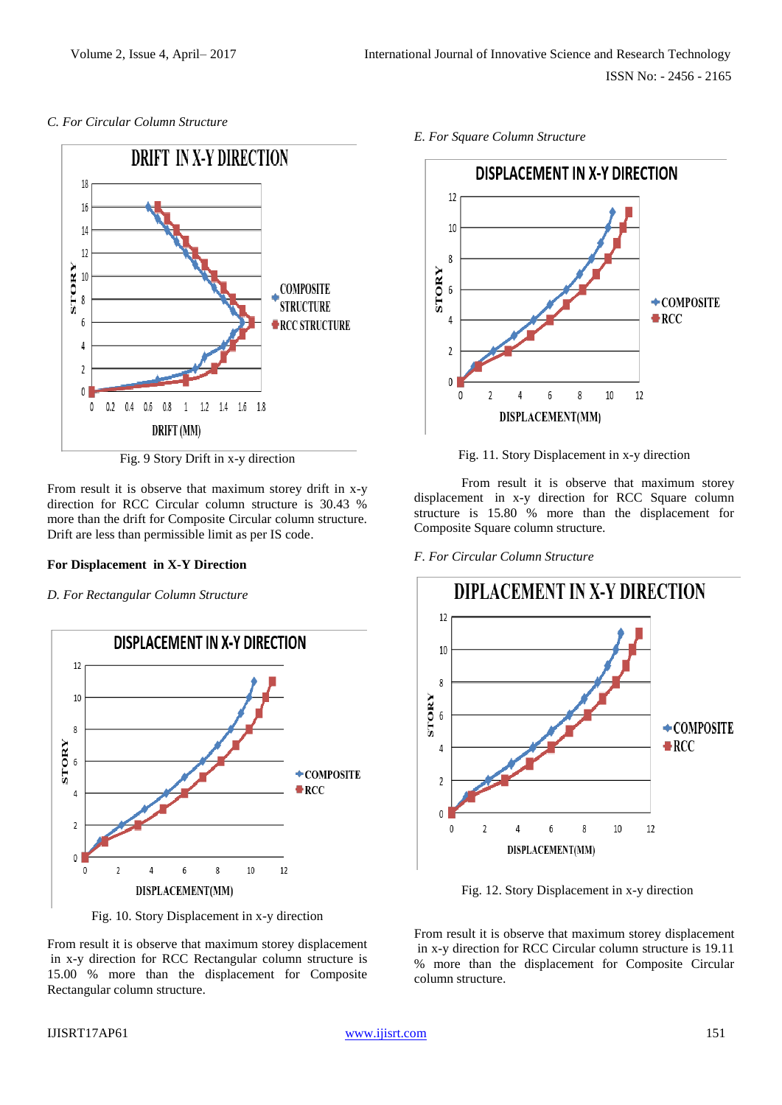# *C. For Circular Column Structure*



Fig. 9 Story Drift in x-y direction

From result it is observe that maximum storey drift in x-y direction for RCC Circular column structure is 30.43 % more than the drift for Composite Circular column structure. Drift are less than permissible limit as per IS code.

### **For Displacement in X-Y Direction**

# *D. For Rectangular Column Structure*



Fig. 10. Story Displacement in x-y direction

From result it is observe that maximum storey displacement in x-y direction for RCC Rectangular column structure is 15.00 % more than the displacement for Composite Rectangular column structure.

*E. For Square Column Structure*



Fig. 11. Story Displacement in x-y direction

From result it is observe that maximum storey displacement in x-y direction for RCC Square column structure is 15.80 % more than the displacement for Composite Square column structure.

*F. For Circular Column Structure*



Fig. 12. Story Displacement in x-y direction

From result it is observe that maximum storey displacement in x-y direction for RCC Circular column structure is 19.11 % more than the displacement for Composite Circular column structure.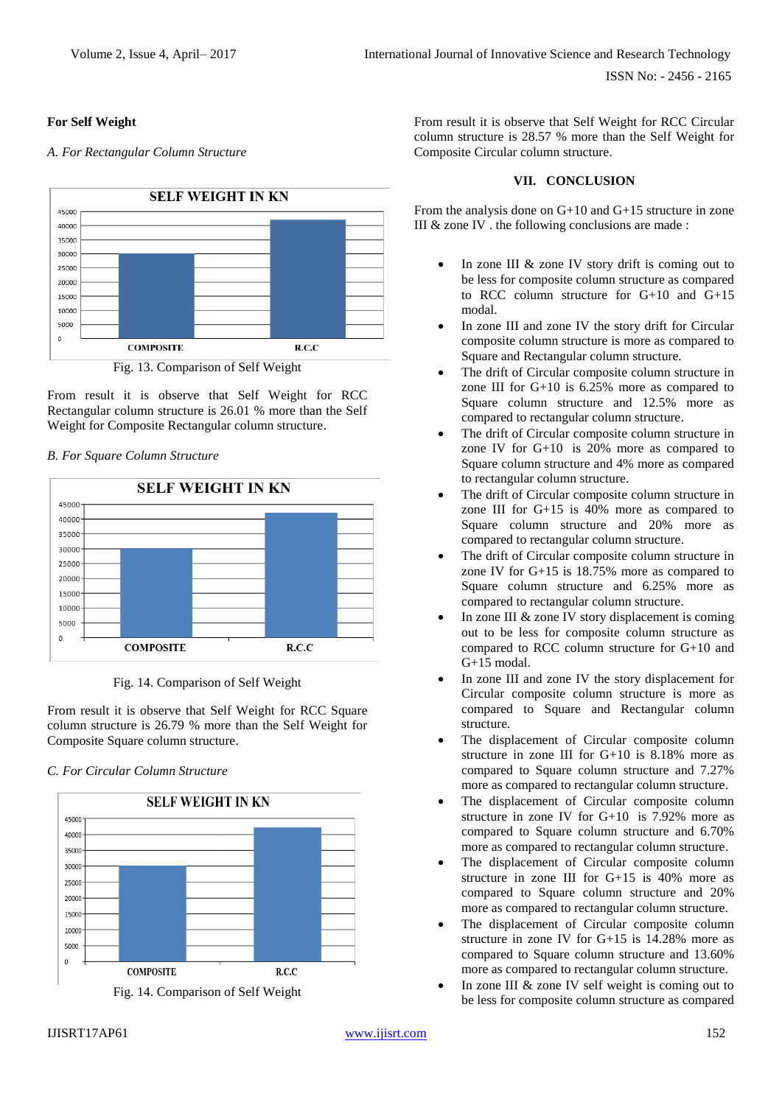# **For Self Weight**

*A. For Rectangular Column Structure*



Fig. 13. Comparison of Self Weight

From result it is observe that Self Weight for RCC Rectangular column structure is 26.01 % more than the Self Weight for Composite Rectangular column structure.

# *B. For Square Column Structure*



Fig. 14. Comparison of Self Weight

From result it is observe that Self Weight for RCC Square column structure is 26.79 % more than the Self Weight for Composite Square column structure.

### *C. For Circular Column Structure*





From result it is observe that Self Weight for RCC Circular column structure is 28.57 % more than the Self Weight for Composite Circular column structure.

## **VII. CONCLUSION**

From the analysis done on G+10 and G+15 structure in zone III  $&$  zone IV . the following conclusions are made :

- In zone III & zone IV story drift is coming out to be less for composite column structure as compared to RCC column structure for G+10 and G+15 modal.
- In zone III and zone IV the story drift for Circular composite column structure is more as compared to Square and Rectangular column structure.
- The drift of Circular composite column structure in zone III for G+10 is 6.25% more as compared to Square column structure and 12.5% more as compared to rectangular column structure.
- The drift of Circular composite column structure in zone IV for G+10 is 20% more as compared to Square column structure and 4% more as compared to rectangular column structure.
- The drift of Circular composite column structure in zone III for G+15 is 40% more as compared to Square column structure and 20% more as compared to rectangular column structure.
- The drift of Circular composite column structure in zone IV for G+15 is 18.75% more as compared to Square column structure and 6.25% more as compared to rectangular column structure.
- In zone III & zone IV story displacement is coming out to be less for composite column structure as compared to RCC column structure for G+10 and G+15 modal.
- In zone III and zone IV the story displacement for Circular composite column structure is more as compared to Square and Rectangular column structure.
- The displacement of Circular composite column structure in zone III for G+10 is 8.18% more as compared to Square column structure and 7.27% more as compared to rectangular column structure.
- The displacement of Circular composite column structure in zone IV for G+10 is 7.92% more as compared to Square column structure and 6.70% more as compared to rectangular column structure.
- The displacement of Circular composite column structure in zone III for G+15 is 40% more as compared to Square column structure and 20% more as compared to rectangular column structure.
- The displacement of Circular composite column structure in zone IV for G+15 is 14.28% more as compared to Square column structure and 13.60% more as compared to rectangular column structure.
- In zone III & zone IV self weight is coming out to be less for composite column structure as compared